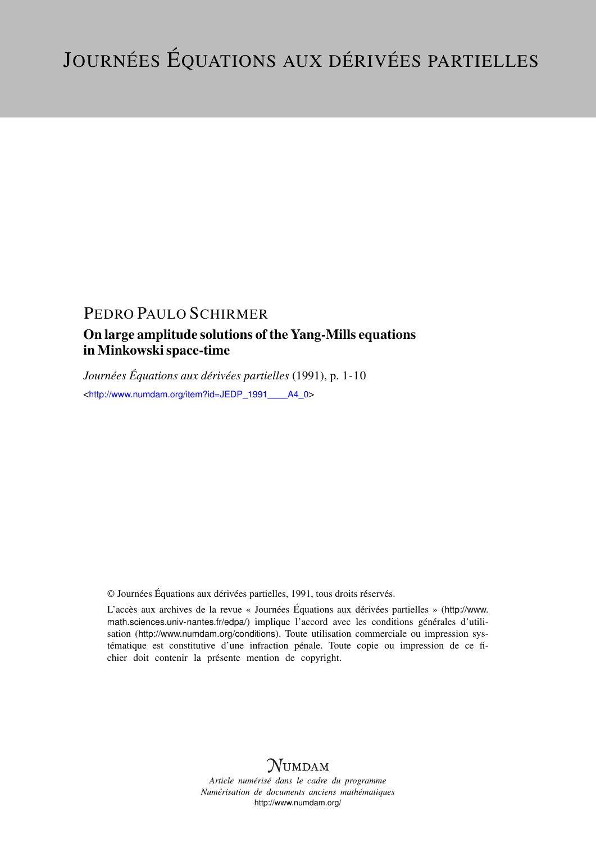# PEDRO PAULO SCHIRMER

# On large amplitude solutions of the Yang-Mills equations in Minkowski space-time

*Journées Équations aux dérivées partielles* (1991), p. 1-10 <[http://www.numdam.org/item?id=JEDP\\_1991\\_\\_\\_\\_A4\\_0](http://www.numdam.org/item?id=JEDP_1991____A4_0)>

© Journées Équations aux dérivées partielles, 1991, tous droits réservés.

L'accès aux archives de la revue « Journées Équations aux dérivées partielles » ([http://www.](http://www.math.sciences.univ-nantes.fr/edpa/) [math.sciences.univ-nantes.fr/edpa/](http://www.math.sciences.univ-nantes.fr/edpa/)) implique l'accord avec les conditions générales d'utilisation (<http://www.numdam.org/conditions>). Toute utilisation commerciale ou impression systématique est constitutive d'une infraction pénale. Toute copie ou impression de ce fichier doit contenir la présente mention de copyright.



*Article numérisé dans le cadre du programme Numérisation de documents anciens mathématiques* <http://www.numdam.org/>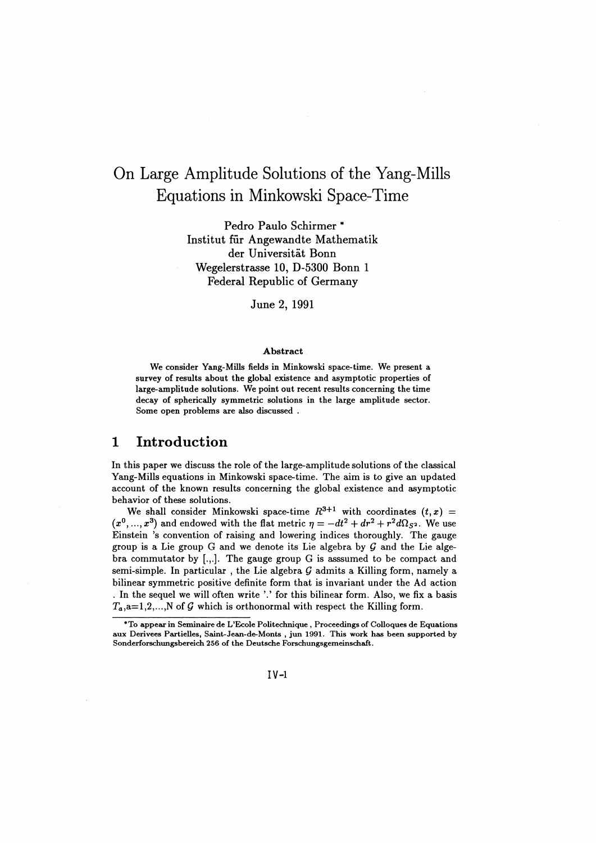# On Large Amplitude Solutions of the Yang-Mills Equations in Minkowski Space-Time

Pedro Paulo Schirmer \* Institut fur Angewandte Mathematik der Universitat Bonn Wegelerstrasse 10, D-5300 Bonn 1 Federal Republic of Germany

June **2,** 1991

#### Abstract

We consider Yang-Mills fields in Minkowski space-time. We present a survey of results about the global existence and asymptotic properties of large-amplitude solutions. We point out recent results concerning the time decay of spherically symmetric solutions in the large amplitude sector. Some open problems are also discussed .

#### 1 Introduction

In this paper we discuss the role of the large-amplitude solutions of the classical Yang-Mills equations in Minkowski space-time. The aim is to give an updated account of the known results concerning the global existence and asymptotic behavior of these solutions.

We shall consider Minkowski space-time  $R^{3+1}$  with coordinates  $(t, x)$  =  $(x^0, ..., x^3)$  and endowed with the flat metric  $\eta = -dt^2 + dr^2 + r^2 d\Omega_{S^2}$ . We use Einstein 's convention of raising and lowering indices thoroughly. The gauge group is a Lie group G and we denote its Lie algebra by *Q* and the Lie algebra commutator by  $[.,.]$ . The gauge group G is assumed to be compact and semi-simple. In particular , the Lie algebra *Q* admits a Killing form, namely a bilinear symmetric positive definite form that is invariant under the Ad action . In the sequel we will often write '.' for this bilinear form. Also, we fix a basis  $T_a$ ,a=1,2,...,N of G which is orthonormal with respect the Killing form.

<sup>\*</sup>To appear in Seminaire de L'Ecole Politechnique , Proceedings of Colloques de Equations aux Derivees Partielles, Saint-Jean-de-Monts , jun 1991. This work has been supported by Sonderforschungsbereich 256 of the Deutsche Forschungsgemeinschaft.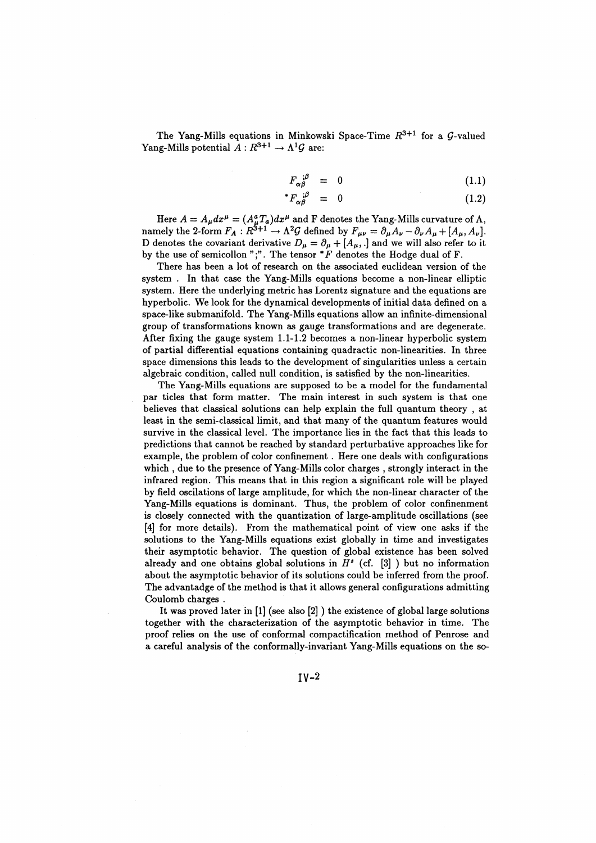The Yang-Mills equations in Minkowski Space-Time  $R^{3+1}$  for a  $\mathcal G$ -valued Yang-Mills potential  $\hat{A}: R^{3+1} \to \Lambda^1 \mathcal{G}$  are:

$$
F_{\alpha\beta}^{;\beta} = 0 \tag{1.1}
$$

$$
{}^*F_{\alpha\beta}^{\quad \ \ ;\beta} = 0 \tag{1.2}
$$

Here  $A = A_{\mu} dx^{\mu} = (A_{\mu}^{a} T_{a}) dx^{\mu}$  and F denotes the Yang-Mills curvature of A, namely the 2-form  $F_A : R^{3+1} \to \Lambda^2 \mathcal{G}$  defined by  $F_{\mu\nu} = \partial_{\mu} A_{\nu} - \partial_{\nu} A_{\mu} + [A_{\mu}, A_{\nu}]$ . D denotes the covariant derivative  $D_{\mu} = \partial_{\mu} + [A_{\mu},.]$  and we will also refer to it by the use of semicollon ";". The tensor  $*F$  denotes the Hodge dual of F.

There has been a lot of research on the associated euclidean version of the system . In that case the Yang-Mills equations become a non-linear elliptic system. Here the underlying metric has Lorentz signature and the equations are hyperbolic. We look for the dynamical developments of initial data defined on a space-like submanifold. The Yang-Mills equations allow an infinite-dimensional group of transformations known as gauge transformations and are degenerate. After fixing the gauge system 1.1-1.2 becomes a non-linear hyperbolic system of partial differential equations containing quadractic non-linearities. In three space dimensions this leads to the development of singularities unless a certain algebraic condition, called null condition, is satisfied by the non-linearities.

The Yang-Mills equations are supposed to be a model for the fundamental par tides that form matter. The main interest in such system is that one believes that classical solutions can help explain the full quantum theory , at least in the semi-classical limit, and that many of the quantum features would survive in the classical level. The importance lies in the fact that this leads to predictions that cannot be reached by standard perturbative approaches like for example, the problem of color confinement . Here one deals with configurations which , due to the presence of Yang-Mills color charges , strongly interact in the infrared region. This means that in this region a significant role will be played by field oscilations of large amplitude, for which the non-linear character of the Yang-Mills equations is dominant. Thus, the problem of color confinenment is closely connected with the quantization of large-amplitude oscillations (see [4] for more details). From the mathematical point of view one asks if the solutions to the Yang-Mills equations exist globally in time and investigates their asymptotic behavior. The question of global existence has been solved already and one obtains global solutions in  $H^s$  (cf. [3] ) but no information about the asymptotic behavior of its solutions could be inferred from the proof. The advantadge of the method is that it allows general configurations admitting Coulomb charges .

It was proved later in [1] (see also [2] ) the existence of global large solutions together with the characterization of the asymptotic behavior in time. The proof relies on the use of conformal compactification method of Penrose and a careful analysis of the conformally-invariant Yang-Mills equations on the so-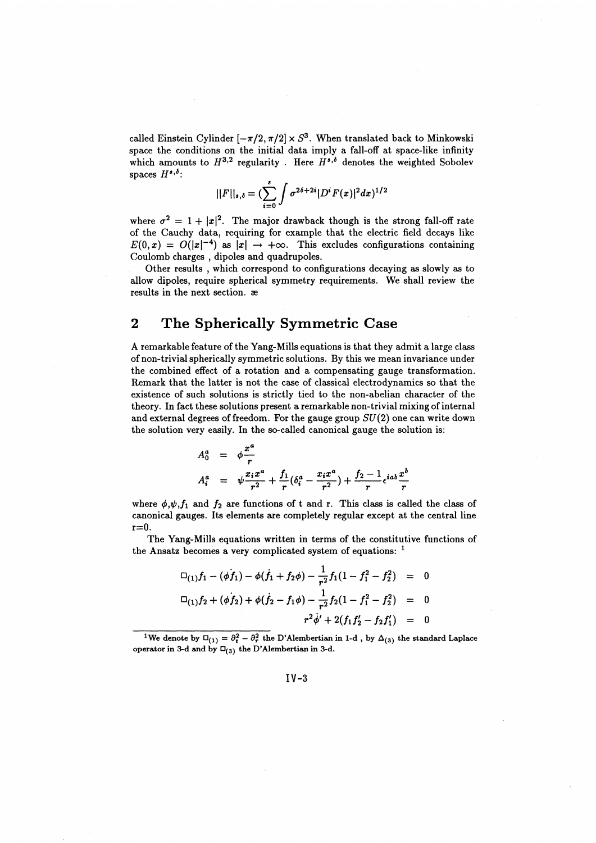called Einstein Cylinder  $[-\pi/2, \pi/2] \times S^3$ . When translated back to Minkowski space the conditions on the initial data imply a fall-off at space-like infinity which amounts to  $H^{3,2}$  regularity. Here  $H^{s, \delta}$  denotes the weighted Sobolev spaces  $H^{s,\delta}$ 

$$
||F||_{s,\delta} = (\sum_{i=0}^s \int \sigma^{2\delta+2i} |D^i F(x)|^2 dx)^{1/2}
$$

where  $\sigma^2 = 1 + |x|^2$ . The major drawback though is the strong fall-off rate of the Cauchy data, requiring for example that the electric field decays like  $E(0, x) = O(|x|^{-4})$  as  $|x| \to +\infty$ . This excludes configurations containing Coulomb charges , dipoles and quadrupoles.

Other results , which correspond to configurations decaying as slowly as to allow dipoles, require spherical symmetry requirements. We shall review the results in the next section, ae

## 2 The Spherically Symmetric Case

A remarkable feature of the Yang-Mills equations is that they admit a large class of non-trivial spherically symmetric solutions. By this we mean invariance under the combined effect of a rotation and a compensating gauge transformation. Remark that the latter is not the case of classical electrodynamics so that the existence of such solutions is strictly tied to the non-abelian character of the theory. In fact these solutions present a remarkable non-trivial mixing of internal and external degrees of freedom. For the gauge group *SU(2)* one can write down

the solution very easily. In the so-called canonical gauge the solution is  
\n
$$
A_0^a = \phi \frac{x^a}{r}
$$
\n
$$
A_i^a = \psi \frac{x_i x^a}{r^2} + \frac{f_1}{r} (\delta_i^a - \frac{x_i x^a}{r^2}) + \frac{f_2 - 1}{r} \epsilon^{i a b} \frac{x^b}{r}
$$

where  $\phi, \psi, f_1$  and  $f_2$  are functions of t and r. This class is called the class of canonical gauges. Its elements are completely regular except at the central line  $r=0$ .

The Yang-Mills equations written in terms of the constitutive functions of the Ansatz becomes a very complicated system of equations:  $<sup>1</sup>$ </sup>

$$
\Box_{(1)}f_1 - (\phi f_1) - \phi(f_1 + f_2\phi) - \frac{1}{r^2}f_1(1 - f_1^2 - f_2^2) = 0
$$
  

$$
\Box_{(1)}f_2 + (\phi f_2) + \phi(f_2 - f_1\phi) - \frac{1}{r^2}f_2(1 - f_1^2 - f_2^2) = 0
$$
  

$$
r^2\phi' + 2(f_1f_2' - f_2f_1') = 0
$$

<sup>&</sup>lt;sup>1</sup>We denote by  $\Box_{(1)} = \partial_t^2 - \partial_r^2$  the D'Alembertian in 1-d , by  $\Delta_{(3)}$  the standard Laplace operator in 3-d and by  $\square_{(3)}$  the D'Alembertian in 3-d.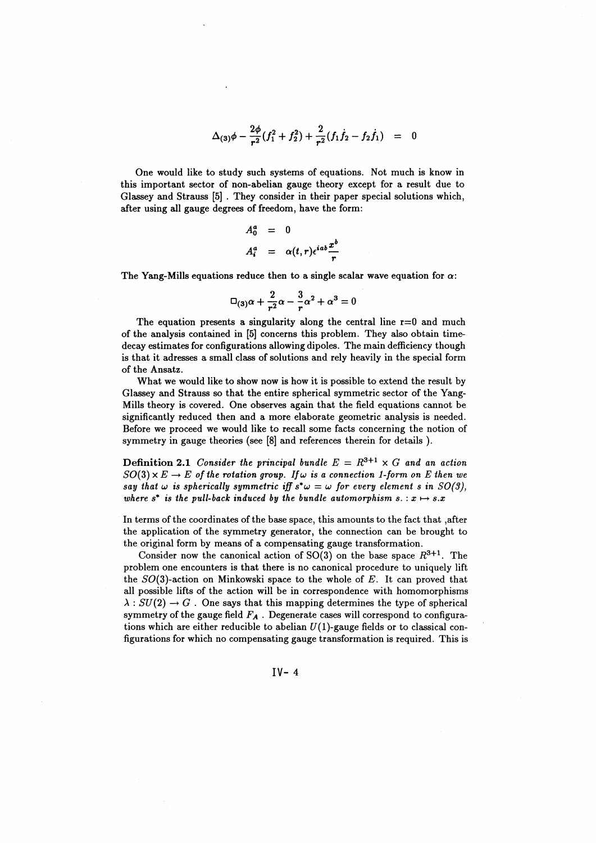$$
\Delta_{(3)}\phi - \frac{2\phi}{r^2}(f_1^2 + f_2^2) + \frac{2}{r^2}(f_1\dot{f}_2 - f_2\dot{f}_1) = 0
$$

One would like to study such systems of equations. Not much is know in this important sector of non-abelian gauge theory except for a result due to Glassey and Strauss [5] . They consider in their paper special solutions which, after using all gauge degrees of freedom, have the form:

$$
A_0^a = 0
$$
  

$$
A_i^a = \alpha(t, r) \epsilon^{iab} \frac{x^b}{r}
$$

The Yang-Mills equations reduce then to a single scalar wave equation for  $\alpha$ :

$$
\Box_{(3)}\alpha+\frac{2}{r^2}\alpha-\frac{3}{r}\alpha^2+\alpha^3=0
$$

The equation presents a singularity along the central line  $r=0$  and much of the analysis contained in [5] concerns this problem. They also obtain timedecay estimates for configurations allowing dipoles. The main deficiency though is that it adresses a small class of solutions and rely heavily in the special form of the Ansatz.

What we would like to show now is how it is possible to extend the result by Glassey and Strauss so that the entire spherical symmetric sector of the Yang-Mills theory is covered. One observes again that the field equations cannot be significantly reduced then and a more elaborate geometric analysis is needed. Before we proceed we would like to recall some facts concerning the notion of symmetry in gauge theories (see [8] and references therein for details ).

**Definition 2.1** Consider the principal bundle  $E = R^{3+1} \times G$  and an action  $SO(3) \times E \rightarrow E$  of the rotation group. If  $\omega$  is a connection 1-form on E then we *say that*  $\omega$  *is spherically symmetric iff s<sup>\*</sup>* $\omega = \omega$  *for every element s in SO(3), where*  $s^*$  *is the pull-back induced by the bundle automorphism*  $s \nvert : x \mapsto s \nvert x$ 

In terms of the coordinates of the base space, this amounts to the fact that .after the application of the symmetry generator, the connection can be brought to the original form by means of a compensating gauge transformation.

Consider now the canonical action of SO(3) on the base space  $R^{3+1}$ . The problem one encounters is that there is no canonical procedure to uniquely lift the 50(3)-action on Minkowski space to the whole of *E.* It can proved that all possible lifts of the action will be in correspondence with homomorphisms  $\lambda: SU(2) \rightarrow G$ . One says that this mapping determines the type of spherical symmetry of the gauge field  $F_A$ . Degenerate cases will correspond to configurations which are either reducible to abelian  $U(1)$ -gauge fields or to classical configurations for which no compensating gauge transformation is required. This is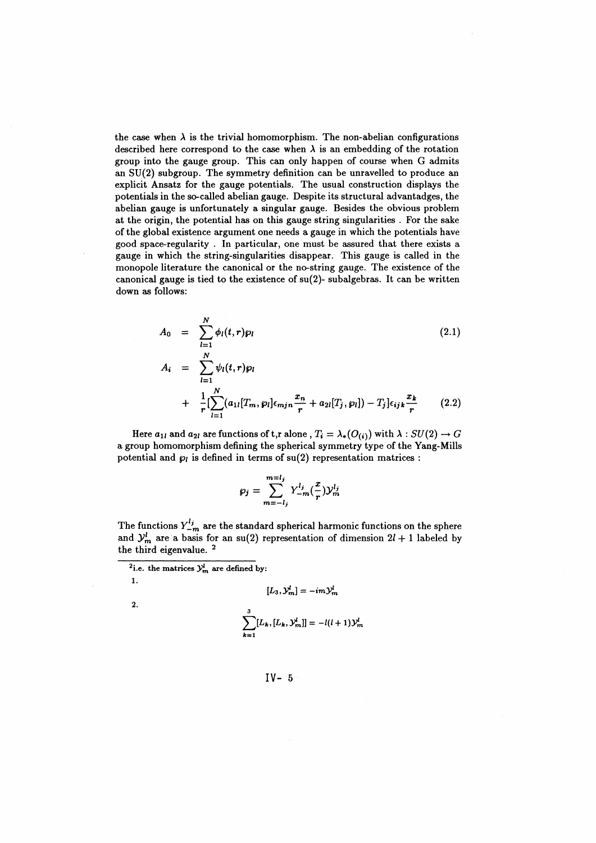the case when  $\lambda$  is the trivial homomorphism. The non-abelian configurations described here correspond to the case when  $\lambda$  is an embedding of the rotation group into the gauge group. This can only happen of course when G admits an SU(2) subgroup. The symmetry definition can be unravelled to produce an explicit Ansatz for the gauge potentials. The usual construction displays the potentials in the so-called abelian gauge. Despite its structural advantadges, the abelian gauge is unfortunately a singular gauge. Besides the obvious problem at the origin, the potential has on this gauge string singularities . For the sake of the global existence argument one needs a gauge in which the potentials have good space-regularity . In particular, one must be assured that there exists a gauge in which the string-singularities disappear. This gauge is called in the monopole literature the canonical or the no-string gauge. The existence of the canonical gauge is tied to the existence of su(2)- subalgebras. It can be written down as follows:

$$
A_0 = \sum_{l=1}^{N} \phi_l(t, r) \rho_l
$$
\n
$$
A_i = \sum_{l=1}^{N} \psi_l(t, r) \rho_l
$$
\n
$$
+ \frac{1}{r} [\sum_{l=1}^{N} (a_{1l}[T_m, \rho_l] \epsilon_{mjn} \frac{x_n}{r} + a_{2l}[T_j, \rho_l]) - T_j] \epsilon_{ijk} \frac{x_k}{r}
$$
\n(2.2)

Here  $a_{1l}$  and  $a_{2l}$  are functions of t,r alone ,  $T_i = \lambda_*(O_{(i)})$  with  $\lambda : SU(2) \rightarrow G$ a group homomorphism defining the spherical symmetry type of the Yang-Mills potential and  $p_i$  is defined in terms of  $su(2)$  representation matrices :

$$
\wp_j = \sum_{m=-l_j}^{m=l_j} Y_{-m}^{l_j}(\frac{x}{r}) \mathcal{Y}_m^{l_j}
$$

The functions  $Y_{-m}^{l_j}$  are the standard spherical harmonic functions on the sphere and  $\mathcal{Y}_m^l$  are a basis for an su(2) representation of dimension  $2l + 1$  labeled by the third eigenvalue.<sup>2</sup>

$$
[L_3,\mathcal{Y}_m^l]=-im\mathcal{Y}_m^l
$$

**2.**

1.

$$
\sum_{k=1}^{3} [L_k, [L_k, \mathcal{Y}_m^l]] = -l(l+1)\mathcal{Y}_m^l
$$

 $\frac{2}{i}$ .e. the matrices  $y^l_m$  are defined by: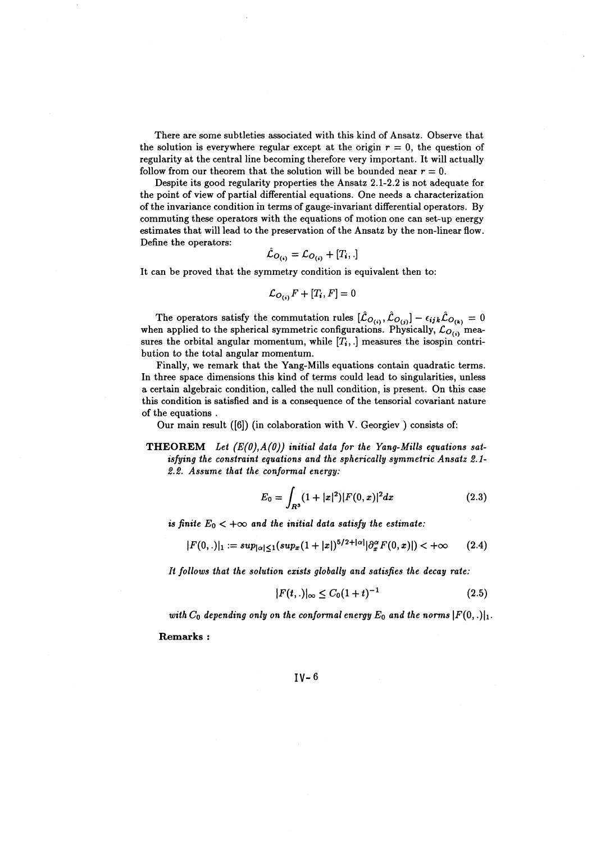There are some subtleties associated with this kind of Ansatz. Observe that the solution is everywhere regular except at the origin  $r = 0$ , the question of regularity at the central line becoming therefore very important. It will actually follow from our theorem that the solution will be bounded near  $r = 0$ .

Despite its good regularity properties the Ansatz 2.1-2.2 is not adequate for the point of view of partial differential equations. One needs a characterization of the invariance condition in terms of gauge-invariant differential operators. By commuting these operators with the equations of motion one can set-up energy estimates that will lead to the preservation of the Ansatz by the non-linear flow. Define the operators:

$$
\hat{\mathcal{L}}_{O_{(i)}} = \mathcal{L}_{O_{(i)}} + [T_i, .]
$$

It can be proved that the symmetry condition is equivalent then to:

$$
\mathcal{L}_{O_{(i)}}F + [T_i, F] = 0
$$

The operators satisfy the commutation rules  $[\hat{\mathcal{L}}_{O_{(i)}}, \hat{\mathcal{L}}_{O_{(j)}}] - \epsilon_{ijk}\hat{\mathcal{L}}_{O_{(k)}} = 0$ when applied to the spherical symmetric configurations. Physically,  $\mathcal{L}_{O_{(1)}}$  measures the orbital angular momentum, while  $[T_i, .]$  measures the isospin contribution to the total angular momentum.

Finally, we remark that the Yang-Mills equations contain quadratic terms. In three space dimensions this kind of terms could lead to singularities, unless a certain algebraic condition, called the null condition, is present. On this case this condition is satisfied and is a consequence of the tensorial covariant nature of the equations .

Our main result ([6]) (in colaboration with V. Georgiev ) consists of:

**THEOREM** *Lei (E(0),A(0)) initial data for the Yang-Mills equations sat*isfying the constraint equations and the spherically symmetric Ansatz 2.1-*S.S. Assume that the conformal energy:*

$$
E_0 = \int_{R^3} (1+|x|^2)|F(0,x)|^2 dx \qquad (2.3)
$$

*is finite*  $E_0 < +\infty$  and the initial data satisfy the estimate:

$$
|F(0,.)|_1 := sup_{|\alpha| \le 1} (sup_x (1+|x|)^{5/2+|\alpha|} |\partial_x^{\alpha} F(0,x)|) < +\infty \qquad (2.4)
$$

*It follows that the solution exists globally and satisfies the decay rate:*

$$
|F(t,.)|_{\infty} \le C_0 (1+t)^{-1}
$$
 (2.5)

with  $C_0$  depending only on the conformal energy  $E_0$  and the norms  $|F(0, .)|_1$ .

**Remarks :**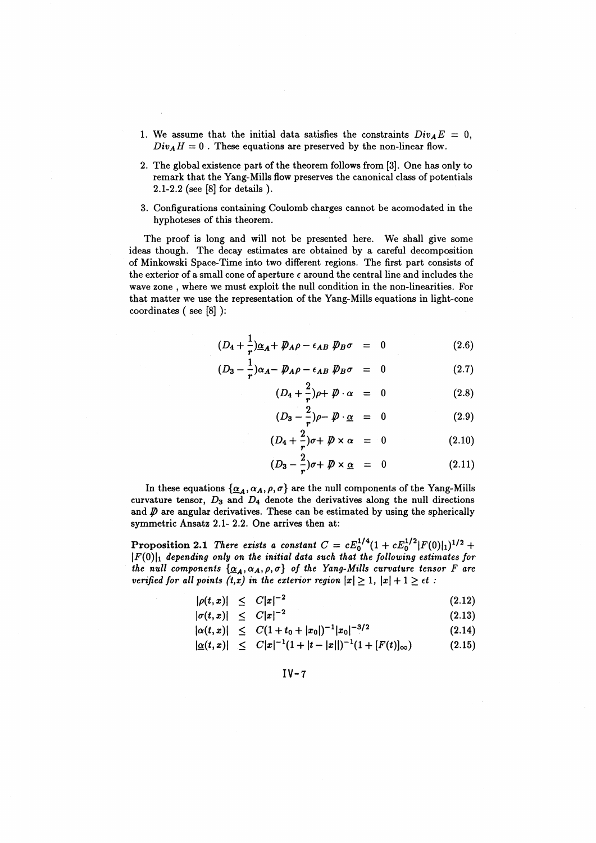- 1. We assume that the initial data satisfies the constraints  $Div_A E = 0$ ,  $Div_A H = 0$ . These equations are preserved by the non-linear flow.
- 2. The global existence part of the theorem follows from [3]. One has only to remark that the Yang-Mills flow preserves the canonical class of potentials 2.1-2.2 (see [8] for details ).
- 3. Configurations containing Coulomb charges cannot be acomodated in the hyphoteses of this theorem.

The proof is long and will not be presented here. We shall give some ideas though. The decay estimates are obtained by a careful decomposition of Minkowski Space-Time into two different regions. The first part consists of the exterior of a small cone of aperture  $\epsilon$  around the central line and includes the wave zone , where we must exploit the null condition in the non-linearities. For that matter we use the representation of the Yang-Mills equations in light-cone coordinates ( see [8] ):

$$
(D_4 + \frac{1}{r})\underline{\alpha}_A + \not\!\!D_A \rho - \epsilon_{AB} \not\!\!D_B \sigma = 0 \qquad (2.6)
$$

$$
(D_3 - \frac{1}{r})\alpha_A - \not{D}_A \rho - \epsilon_{AB} \not{D}_B \sigma = 0 \qquad (2.7)
$$

$$
(D_4 + \frac{2}{r})\rho + \mathcal{D} \cdot \alpha = 0 \qquad (2.8)
$$

$$
(D_3 - \frac{2}{r})\rho - \not{D} \cdot \underline{\alpha} = 0 \qquad (2.9)
$$

$$
(D_4 + \frac{2}{r})\sigma + \not{D} \times \alpha = 0 \qquad (2.10)
$$

$$
(D_3 - \frac{2}{r})\sigma + \not{D} \times \underline{\alpha} = 0 \qquad (2.11)
$$

In these equations  $\{\underline{\alpha}_A,\alpha_A,\rho,\sigma\}$  are the null components of the Yang-Mills curvature tensor,  $D_3$  and  $D_4$  denote the derivatives along the null directions and  $\not\!\!D$  are angular derivatives. These can be estimated by using the spherically symmetric Ansatz 2.1- 2.2. One arrives then at:

**Proposition 2.1** There exists a constant  $C = cE_0^{1/4} (1 + cE_0^{1/2} |F(0)|_1)^{1/2} +$  $|F(0)|_1$  depending only on the initial data such that the following estimates for *the null components*  $\{\underline{\alpha}_A,\alpha_A,\rho,\sigma\}$  *of the Yang-Mills curvature tensor F are verified for all points*  $(t, x)$  *in the exterior region*  $|x| \ge 1$ ,  $|x| + 1 \ge \epsilon t$ :

$$
|\rho(t,x)| \leq C|x|^{-2} \tag{2.12}
$$

$$
|\sigma(t,x)| \leq C|x|^{-2} \tag{2.13}
$$

$$
|\alpha(t,x)| \leq C(1+t_0+|x_0|)^{-1}|x_0|^{-3/2} \tag{2.14}
$$

$$
|\underline{\alpha}(t,x)| \leq C|x|^{-1}(1+|t-|x||)^{-1}(1+[F(t)]_{\infty}) \qquad (2.15)
$$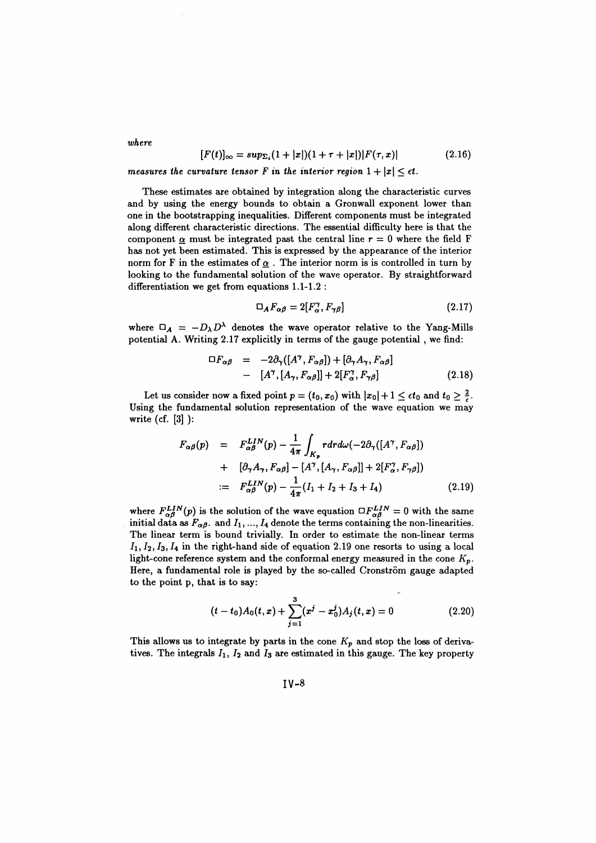$$
[F(t)]_{\infty} = \sup_{\Sigma_i} (1+|x|)(1+\tau+|x|)|F(\tau,x)| \tag{2.16}
$$

 $[F(t)]_{\infty} = \sup_{\Sigma_i} (1 + |x|)(1 + \tau + |x|)|F(\tau, x)|$ <br>measures the curvature tensor *F* in the interior region  $1 + |x| \leq \epsilon t$ .

These estimates are obtained by integration along the characteristic curves and by using the energy bounds to obtain a Gronwall exponent lower than one in the bootstrapping inequalities. Different components must be integrated along different characteristic directions. The essential difficulty here is that the component  $\alpha$  must be integrated past the central line  $r = 0$  where the field F has not yet been estimated. This is expressed by the appearance of the interior norm for F in the estimates of  $\alpha$ . The interior norm is is controlled in turn by looking to the fundamental solution of the wave operator. By straightforward differentiation we get from equations 1.1-1.2 :

$$
\mathcal{D}_A F_{\alpha\beta} = 2[F_{\alpha}^{\gamma}, F_{\gamma\beta}] \tag{2.17}
$$

where  $\Box_A = -D_1 D^{\lambda}$  denotes the wave operator relative to the Yang-Mills potential A. Writing 2.17 explicitly in terms of the gauge potential , we find:

$$
\Box F_{\alpha\beta} = -2\partial_{\gamma}([A^{\gamma}, F_{\alpha\beta}]) + [\partial_{\gamma} A_{\gamma}, F_{\alpha\beta}]
$$
  
- 
$$
[A^{\gamma}, [A_{\gamma}, F_{\alpha\beta}]] + 2[F^{\gamma}_{\alpha}, F_{\gamma\beta}]
$$
 (2.18)

Let us consider now a fixed point  $p = (t_0, x_0)$  with  $|x_0| + 1 \leq \epsilon t_0$  and  $t_0 > \frac{2}{\epsilon}$ . Using the fundamental solution representation of the wave equation we mav write (cf. [3] ):

$$
F_{\alpha\beta}(p) = F_{\alpha\beta}^{LIN}(p) - \frac{1}{4\pi} \int_{K_p} r dr d\omega (-2\partial_{\gamma} ([A^{\gamma}, F_{\alpha\beta}])
$$
  
+ 
$$
[\partial_{\gamma} A_{\gamma}, F_{\alpha\beta}] - [A^{\gamma}, [A_{\gamma}, F_{\alpha\beta}]] + 2[F_{\alpha}^{\gamma}, F_{\gamma\beta}])
$$
  
:= 
$$
F_{\alpha\beta}^{LIN}(p) - \frac{1}{4\pi} (I_1 + I_2 + I_3 + I_4)
$$
(2.19)

where  $F^{LIN}_{\alpha}(p)$  is the solution of the wave equation  $\Box F^{LIN}_{\alpha}=0$  with the same initial data as  $F_{\alpha\beta}$ . and  $I_1, ..., I_4$  denote the terms containing the non-linearities. The linear term is bound trivially. In order to estimate the non-linear terms  $I_1, I_2, I_3, I_4$  in the right-hand side of equation 2.19 one resorts to using a local light-cone reference system and the conformal energy measured in the cone *Kp.* Here, a fundamental role is played by the so-called Cronström gauge adapted to the point p, that is to say:

$$
(t-t_0)A_0(t,x)+\sum_{j=1}^3(x^j-x_0^j)A_j(t,x)=0
$$
\n(2.20)

This allows us to integrate by parts in the cone  $K_p$  and stop the loss of derivatives. The integrals  $I_1$ ,  $I_2$  and  $I_3$  are estimated in this gauge. The key property

 $IV-8$ 

*where*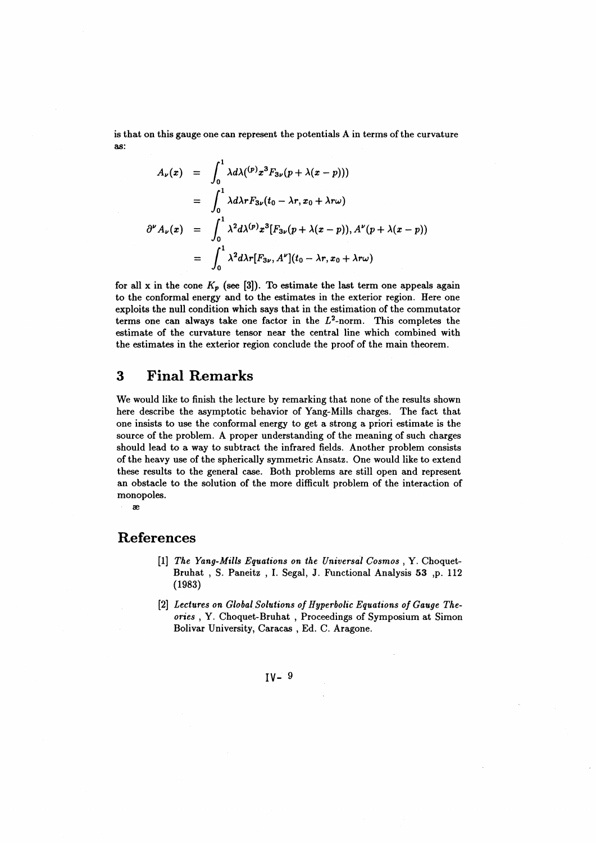is that on this gauge one can represent the potentials A in terms of the curvature as:

$$
A_{\nu}(x) = \int_0^1 \lambda d\lambda(^{(p)}x^3 F_{3\nu}(p + \lambda(x-p)))
$$
  
\n
$$
= \int_0^1 \lambda d\lambda r F_{3\nu}(t_0 - \lambda r, x_0 + \lambda r\omega)
$$
  
\n
$$
\partial^{\nu} A_{\nu}(x) = \int_0^1 \lambda^2 d\lambda^{(p)} x^3 [F_{3\nu}(p + \lambda(x-p)), A^{\nu}(p + \lambda(x-p))]
$$
  
\n
$$
= \int_0^1 \lambda^2 d\lambda r [F_{3\nu}, A^{\nu}](t_0 - \lambda r, x_0 + \lambda r\omega)
$$

for all x in the cone  $K_p$  (see [3]). To estimate the last term one appeals again to the conformal energy and to the estimates in the exterior region. Here one exploits the null condition which says that in the estimation of the commutator terms one can always take one factor in the  $L^2$ -norm. This completes the estimate of the curvature tensor near the central line which combined with the estimates in the exterior region conclude the proof of the main theorem.

## 3 Final Remarks

We would like to finish the lecture by remarking that none of the results shown here describe the asymptotic behavior of Yang-Mills charges. The fact that one insists to use the conformal energy to get a strong a priori estimate is the source of the problem. A proper understanding of the meaning of such charges should lead to a way to subtract the infrared fields. Another problem consists of the heavy use of the spherically symmetric Ansatz. One would like to extend these results to the general case. Both problems are still open and represent an obstacle to the solution of the more difficult problem of the interaction of monopoles.

#### ae

### References

- [1] *The Yang-Mills Equations on the Universal Cosmos* , Y. Choquet-Bruhat , S. Paneitz , I. Segal, J. Functional Analysis **53** ,p. 112 (1983)
- [2] *Lectures on Global Solutions of Hyperbolic Equations of Gauge Theories* , Y. Choquet-Bruhat , Proceedings of Symposium at Simon Bolivar University, Caracas , Ed. C. Aragone.